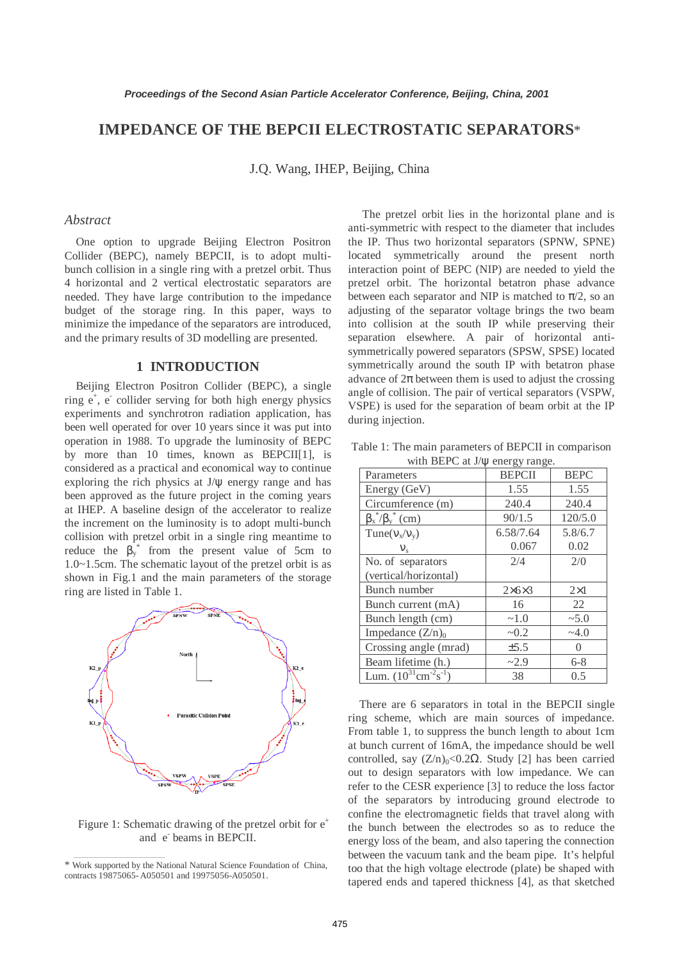# **IMPEDANCE OF THE BEPCII ELECTROSTATIC SEPARATORS**\*

J.Q. Wang, IHEP, Beijing, China

# *Abstract*

One option to upgrade Beijing Electron Positron Collider (BEPC), namely BEPCII, is to adopt multibunch collision in a single ring with a pretzel orbit. Thus 4 horizontal and 2 vertical electrostatic separators are needed. They have large contribution to the impedance budget of the storage ring. In this paper, ways to minimize the impedance of the separators are introduced, and the primary results of 3D modelling are presented.

# **1 INTRODUCTION**

Beijing Electron Positron Collider (BEPC), a single ring  $e^+$ ,  $e^-$  collider serving for both high energy physics experiments and synchrotron radiation application, has been well operated for over 10 years since it was put into operation in 1988. To upgrade the luminosity of BEPC by more than 10 times, known as BEPCII[1], is considered as a practical and economical way to continue exploring the rich physics at  $J/\psi$  energy range and has been approved as the future project in the coming years at IHEP. A baseline design of the accelerator to realize the increment on the luminosity is to adopt multi-bunch collision with pretzel orbit in a single ring meantime to reduce the  $\beta_y^*$  from the present value of 5cm to 1.0~1.5cm. The schematic layout of the pretzel orbit is as shown in Fig.1 and the main parameters of the storage ring are listed in Table 1.



Figure 1: Schematic drawing of the pretzel orbit for  $e^+$ and e beams in BEPCII.

 $\mathcal{L}_\text{max}$  and  $\mathcal{L}_\text{max}$  and  $\mathcal{L}_\text{max}$  and  $\mathcal{L}_\text{max}$ 

 The pretzel orbit lies in the horizontal plane and is anti-symmetric with respect to the diameter that includes the IP. Thus two horizontal separators (SPNW, SPNE) located symmetrically around the present north interaction point of BEPC (NIP) are needed to yield the pretzel orbit. The horizontal betatron phase advance between each separator and NIP is matched to  $\pi/2$ , so an adjusting of the separator voltage brings the two beam into collision at the south IP while preserving their separation elsewhere. A pair of horizontal antisymmetrically powered separators (SPSW, SPSE) located symmetrically around the south IP with betatron phase advance of  $2\pi$  between them is used to adjust the crossing angle of collision. The pair of vertical separators (VSPW, VSPE) is used for the separation of beam orbit at the IP during injection.

Table 1: The main parameters of BEPCII in comparison with BEPC at J/ $\psi$  energy range.

| Parameters                                    | <b>BEPCII</b>       | <b>BEPC</b>   |
|-----------------------------------------------|---------------------|---------------|
| Energy (GeV)                                  | 1.55                | 1.55          |
| Circumference (m)                             | 240.4               | 240.4         |
| $\beta_x^*/\beta_y^*$ (cm)                    | 90/1.5              | 120/5.0       |
| $Tune(v_x/v_y)$                               | 6.58/7.64           | 5.8/6.7       |
| $V_{\rm s}$                                   | 0.067               | 0.02          |
| No. of separators                             | 2/4                 | 2/0           |
| (vertical/horizontal)                         |                     |               |
| Bunch number                                  | $2\times 6\times 3$ | $2\times1$    |
| Bunch current (mA)                            | 16                  | 22            |
| Bunch length (cm)                             | ~1.0                | $~10^{-5}$ .0 |
| Impedance $(Z/n)_0$                           | ~10.2               | $-4.0$        |
| Crossing angle (mrad)                         | $\pm$ 5.5           | $\Omega$      |
| Beam lifetime (h.)                            | ~2.9                | $6 - 8$       |
| Lum. $(10^{31} \text{cm}^{-2} \text{s}^{-1})$ | 38                  | 0.5           |

There are 6 separators in total in the BEPCII single ring scheme, which are main sources of impedance. From table 1, to suppress the bunch length to about 1cm at bunch current of 16mA, the impedance should be well controlled, say  $(Z/n)_0$ <0.2Ω. Study [2] has been carried out to design separators with low impedance. We can refer to the CESR experience [3] to reduce the loss factor of the separators by introducing ground electrode to confine the electromagnetic fields that travel along with the bunch between the electrodes so as to reduce the energy loss of the beam, and also tapering the connection between the vacuum tank and the beam pipe. It's helpful too that the high voltage electrode (plate) be shaped with tapered ends and tapered thickness [4], as that sketched

<sup>\*</sup> Work supported by the National Natural Science Foundation of China, contracts 19875065- A050501 and 19975056-A050501.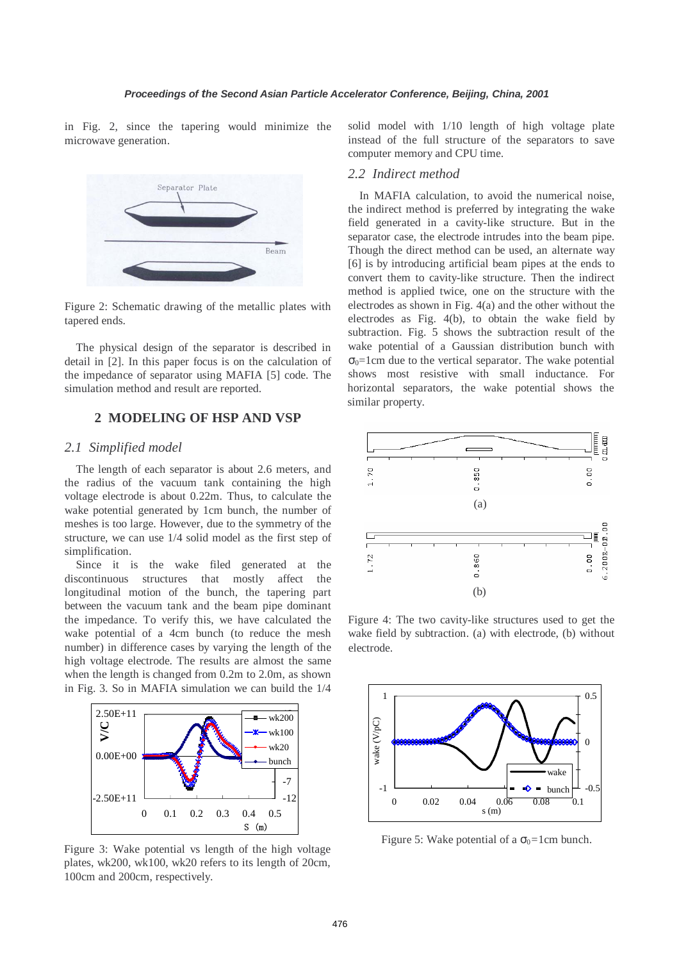in Fig. 2, since the tapering would minimize the microwave generation.



Figure 2: Schematic drawing of the metallic plates with tapered ends.

The physical design of the separator is described in detail in [2]. In this paper focus is on the calculation of the impedance of separator using MAFIA [5] code. The simulation method and result are reported.

# **2 MODELING OF HSP AND VSP**

#### *2.1 Simplified model*

The length of each separator is about 2.6 meters, and the radius of the vacuum tank containing the high voltage electrode is about 0.22m. Thus, to calculate the wake potential generated by 1cm bunch, the number of meshes is too large. However, due to the symmetry of the structure, we can use 1/4 solid model as the first step of simplification.

Since it is the wake filed generated at the discontinuous structures that mostly affect the longitudinal motion of the bunch, the tapering part between the vacuum tank and the beam pipe dominant the impedance. To verify this, we have calculated the wake potential of a 4cm bunch (to reduce the mesh number) in difference cases by varying the length of the high voltage electrode. The results are almost the same when the length is changed from 0.2m to 2.0m, as shown in Fig. 3. So in MAFIA simulation we can build the 1/4



Figure 3: Wake potential vs length of the high voltage plates, wk200, wk100, wk20 refers to its length of 20cm, 100cm and 200cm, respectively.

solid model with 1/10 length of high voltage plate instead of the full structure of the separators to save computer memory and CPU time.

#### *2.2 Indirect method*

In MAFIA calculation, to avoid the numerical noise, the indirect method is preferred by integrating the wake field generated in a cavity-like structure. But in the separator case, the electrode intrudes into the beam pipe. Though the direct method can be used, an alternate way [6] is by introducing artificial beam pipes at the ends to convert them to cavity-like structure. Then the indirect method is applied twice, one on the structure with the electrodes as shown in Fig. 4(a) and the other without the electrodes as Fig. 4(b), to obtain the wake field by subtraction. Fig. 5 shows the subtraction result of the wake potential of a Gaussian distribution bunch with  $\sigma_0$ =1cm due to the vertical separator. The wake potential shows most resistive with small inductance. For horizontal separators, the wake potential shows the similar property.



Figure 4: The two cavity-like structures used to get the wake field by subtraction. (a) with electrode, (b) without electrode.



Figure 5: Wake potential of a  $\sigma_0$ =1cm bunch.